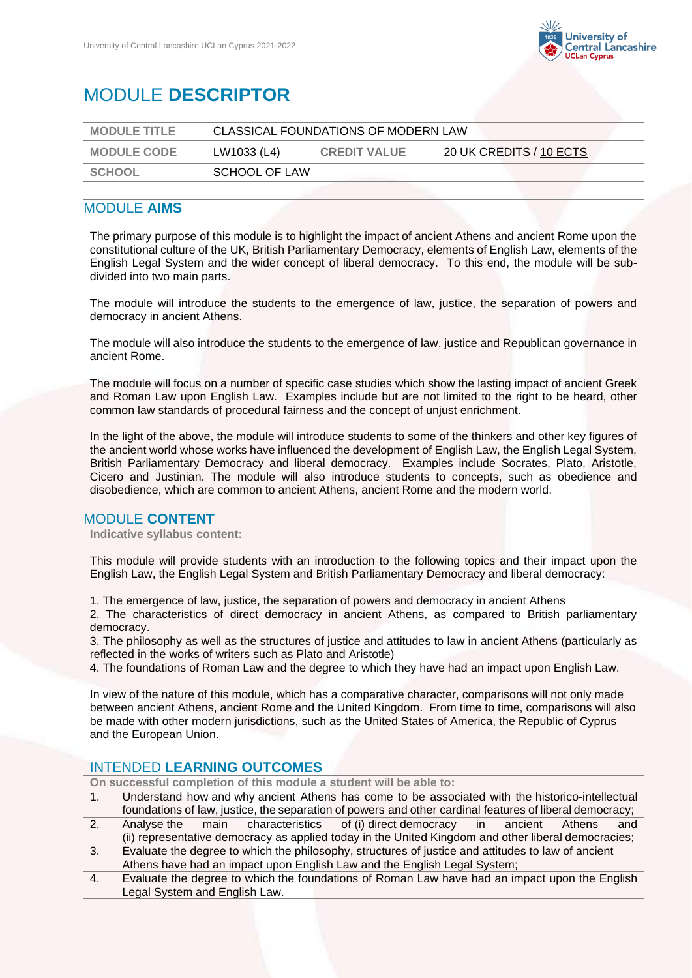

# MODULE **DESCRIPTOR**

| <b>MODULE TITLE</b> | CLASSICAL FOUNDATIONS OF MODERN LAW |                     |                         |
|---------------------|-------------------------------------|---------------------|-------------------------|
| <b>MODULE CODE</b>  | LW1033 (L4)                         | <b>CREDIT VALUE</b> | 20 UK CREDITS / 10 ECTS |
| SCHOOL              | SCHOOL OF LAW                       |                     |                         |
|                     |                                     |                     |                         |
|                     |                                     |                     |                         |

## MODULE **AIMS**

The primary purpose of this module is to highlight the impact of ancient Athens and ancient Rome upon the constitutional culture of the UK, British Parliamentary Democracy, elements of English Law, elements of the English Legal System and the wider concept of liberal democracy. To this end, the module will be subdivided into two main parts.

The module will introduce the students to the emergence of law, justice, the separation of powers and democracy in ancient Athens.

The module will also introduce the students to the emergence of law, justice and Republican governance in ancient Rome.

The module will focus on a number of specific case studies which show the lasting impact of ancient Greek and Roman Law upon English Law. Examples include but are not limited to the right to be heard, other common law standards of procedural fairness and the concept of unjust enrichment.

In the light of the above, the module will introduce students to some of the thinkers and other key figures of the ancient world whose works have influenced the development of English Law, the English Legal System, British Parliamentary Democracy and liberal democracy. Examples include Socrates, Plato, Aristotle, Cicero and Justinian. The module will also introduce students to concepts, such as obedience and disobedience, which are common to ancient Athens, ancient Rome and the modern world.

## MODULE **CONTENT**

**Indicative syllabus content:**

This module will provide students with an introduction to the following topics and their impact upon the English Law, the English Legal System and British Parliamentary Democracy and liberal democracy:

1. The emergence of law, justice, the separation of powers and democracy in ancient Athens

2. The characteristics of direct democracy in ancient Athens, as compared to British parliamentary democracy.

3. The philosophy as well as the structures of justice and attitudes to law in ancient Athens (particularly as reflected in the works of writers such as Plato and Aristotle)

4. The foundations of Roman Law and the degree to which they have had an impact upon English Law.

In view of the nature of this module, which has a comparative character, comparisons will not only made between ancient Athens, ancient Rome and the United Kingdom. From time to time, comparisons will also be made with other modern jurisdictions, such as the United States of America, the Republic of Cyprus and the European Union.

## INTENDED **LEARNING OUTCOMES**

**On successful completion of this module a student will be able to:**

- 1. Understand how and why ancient Athens has come to be associated with the historico-intellectual foundations of law, justice, the separation of powers and other cardinal features of liberal democracy;
- 2. Analyse the main characteristics of (i) direct democracy in ancient Athens and (ii) representative democracy as applied today in the United Kingdom and other liberal democracies;
- 3. Evaluate the degree to which the philosophy, structures of justice and attitudes to law of ancient Athens have had an impact upon English Law and the English Legal System;
- 4. Evaluate the degree to which the foundations of Roman Law have had an impact upon the English Legal System and English Law.